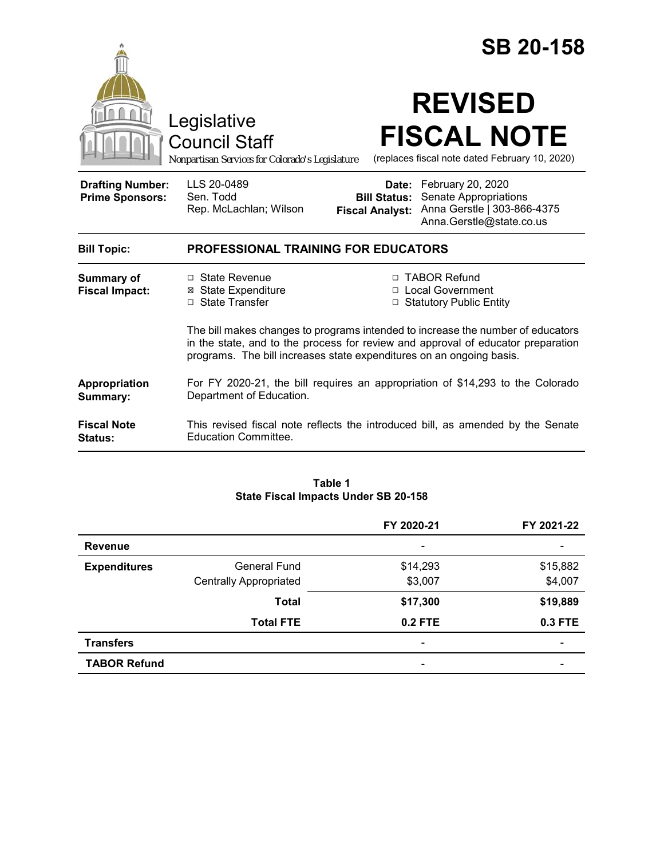|                                                   | Legislative<br><b>Council Staff</b><br>Nonpartisan Services for Colorado's Legislature                                                                   |                                                                                                                                                      | <b>SB 20-158</b><br><b>REVISED</b><br><b>FISCAL NOTE</b><br>(replaces fiscal note dated February 10, 2020) |  |
|---------------------------------------------------|----------------------------------------------------------------------------------------------------------------------------------------------------------|------------------------------------------------------------------------------------------------------------------------------------------------------|------------------------------------------------------------------------------------------------------------|--|
| <b>Drafting Number:</b><br><b>Prime Sponsors:</b> | LLS 20-0489<br>Sen. Todd<br>Rep. McLachlan; Wilson                                                                                                       | Date:<br><b>Bill Status:</b><br><b>Fiscal Analyst:</b>                                                                                               | February 20, 2020<br>Senate Appropriations<br>Anna Gerstle   303-866-4375<br>Anna.Gerstle@state.co.us      |  |
| <b>Bill Topic:</b>                                | <b>PROFESSIONAL TRAINING FOR EDUCATORS</b>                                                                                                               |                                                                                                                                                      |                                                                                                            |  |
| <b>Summary of</b><br><b>Fiscal Impact:</b>        | $\Box$ State Revenue<br>⊠ State Expenditure<br>□ State Transfer                                                                                          | □ TABOR Refund<br>□ Local Government<br>□ Statutory Public Entity<br>The bill makes changes to programs intended to increase the number of educators |                                                                                                            |  |
|                                                   | in the state, and to the process for review and approval of educator preparation<br>programs. The bill increases state expenditures on an ongoing basis. |                                                                                                                                                      |                                                                                                            |  |
| Appropriation<br>Summary:                         | For FY 2020-21, the bill requires an appropriation of \$14,293 to the Colorado<br>Department of Education.                                               |                                                                                                                                                      |                                                                                                            |  |
| <b>Fiscal Note</b><br><b>Status:</b>              | This revised fiscal note reflects the introduced bill, as amended by the Senate<br>Education Committee.                                                  |                                                                                                                                                      |                                                                                                            |  |

#### **Table 1 State Fiscal Impacts Under SB 20-158**

|                     |                               | FY 2020-21               | FY 2021-22               |
|---------------------|-------------------------------|--------------------------|--------------------------|
| <b>Revenue</b>      |                               | -                        |                          |
| <b>Expenditures</b> | <b>General Fund</b>           | \$14,293                 | \$15,882                 |
|                     | <b>Centrally Appropriated</b> | \$3,007                  | \$4,007                  |
|                     | <b>Total</b>                  | \$17,300                 | \$19,889                 |
|                     | <b>Total FTE</b>              | $0.2$ FTE                | 0.3 FTE                  |
| <b>Transfers</b>    |                               | $\overline{\phantom{0}}$ | $\overline{\phantom{0}}$ |
| <b>TABOR Refund</b> |                               | $\overline{\phantom{0}}$ | $\overline{\phantom{0}}$ |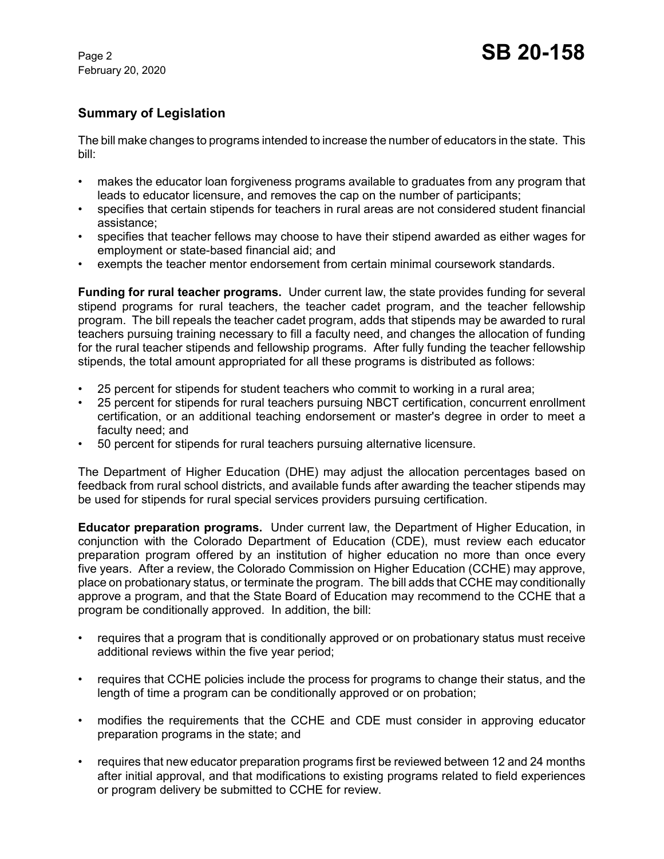# **Summary of Legislation**

The bill make changes to programs intended to increase the number of educators in the state. This bill:

- makes the educator loan forgiveness programs available to graduates from any program that leads to educator licensure, and removes the cap on the number of participants;
- specifies that certain stipends for teachers in rural areas are not considered student financial assistance;
- specifies that teacher fellows may choose to have their stipend awarded as either wages for employment or state-based financial aid; and
- exempts the teacher mentor endorsement from certain minimal coursework standards.

**Funding for rural teacher programs.** Under current law, the state provides funding for several stipend programs for rural teachers, the teacher cadet program, and the teacher fellowship program. The bill repeals the teacher cadet program, adds that stipends may be awarded to rural teachers pursuing training necessary to fill a faculty need, and changes the allocation of funding for the rural teacher stipends and fellowship programs. After fully funding the teacher fellowship stipends, the total amount appropriated for all these programs is distributed as follows:

- 25 percent for stipends for student teachers who commit to working in a rural area;
- 25 percent for stipends for rural teachers pursuing NBCT certification, concurrent enrollment certification, or an additional teaching endorsement or master's degree in order to meet a faculty need; and
- 50 percent for stipends for rural teachers pursuing alternative licensure.

The Department of Higher Education (DHE) may adjust the allocation percentages based on feedback from rural school districts, and available funds after awarding the teacher stipends may be used for stipends for rural special services providers pursuing certification.

**Educator preparation programs.** Under current law, the Department of Higher Education, in conjunction with the Colorado Department of Education (CDE), must review each educator preparation program offered by an institution of higher education no more than once every five years. After a review, the Colorado Commission on Higher Education (CCHE) may approve, place on probationary status, or terminate the program. The bill adds that CCHE may conditionally approve a program, and that the State Board of Education may recommend to the CCHE that a program be conditionally approved. In addition, the bill:

- requires that a program that is conditionally approved or on probationary status must receive additional reviews within the five year period;
- requires that CCHE policies include the process for programs to change their status, and the length of time a program can be conditionally approved or on probation;
- modifies the requirements that the CCHE and CDE must consider in approving educator preparation programs in the state; and
- requires that new educator preparation programs first be reviewed between 12 and 24 months after initial approval, and that modifications to existing programs related to field experiences or program delivery be submitted to CCHE for review.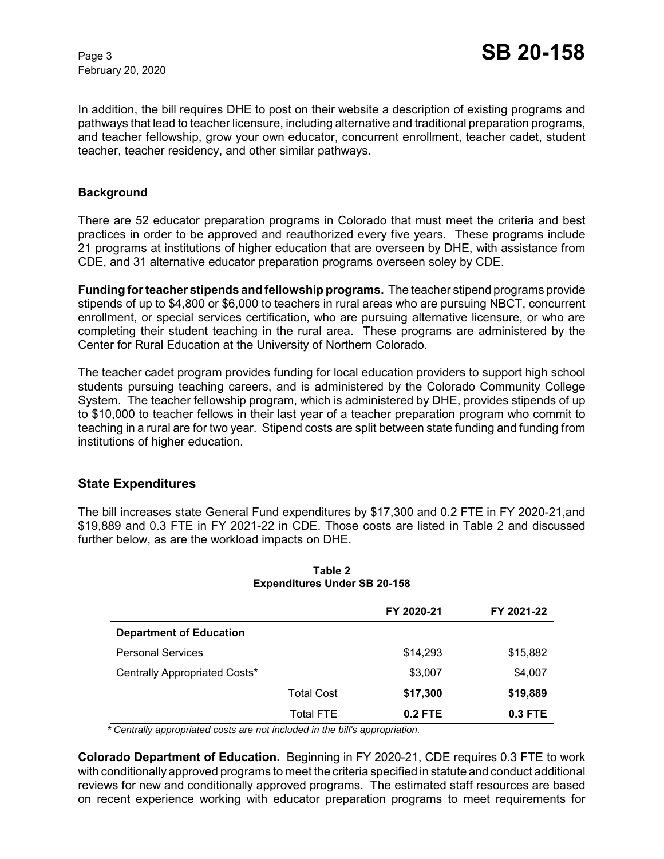In addition, the bill requires DHE to post on their website a description of existing programs and pathways that lead to teacher licensure, including alternative and traditional preparation programs, and teacher fellowship, grow your own educator, concurrent enrollment, teacher cadet, student teacher, teacher residency, and other similar pathways.

#### **Background**

There are 52 educator preparation programs in Colorado that must meet the criteria and best practices in order to be approved and reauthorized every five years. These programs include 21 programs at institutions of higher education that are overseen by DHE, with assistance from CDE, and 31 alternative educator preparation programs overseen soley by CDE.

**Funding for teacher stipends and fellowship programs.** The teacher stipend programs provide stipends of up to \$4,800 or \$6,000 to teachers in rural areas who are pursuing NBCT, concurrent enrollment, or special services certification, who are pursuing alternative licensure, or who are completing their student teaching in the rural area. These programs are administered by the Center for Rural Education at the University of Northern Colorado.

The teacher cadet program provides funding for local education providers to support high school students pursuing teaching careers, and is administered by the Colorado Community College System. The teacher fellowship program, which is administered by DHE, provides stipends of up to \$10,000 to teacher fellows in their last year of a teacher preparation program who commit to teaching in a rural are for two year. Stipend costs are split between state funding and funding from institutions of higher education.

## **State Expenditures**

The bill increases state General Fund expenditures by \$17,300 and 0.2 FTE in FY 2020-21,and \$19,889 and 0.3 FTE in FY 2021-22 in CDE. Those costs are listed in Table 2 and discussed further below, as are the workload impacts on DHE.

|                                |                   | FY 2020-21 | FY 2021-22 |
|--------------------------------|-------------------|------------|------------|
| <b>Department of Education</b> |                   |            |            |
| <b>Personal Services</b>       |                   | \$14,293   | \$15,882   |
| Centrally Appropriated Costs*  |                   | \$3,007    | \$4,007    |
|                                | <b>Total Cost</b> | \$17,300   | \$19,889   |
|                                | <b>Total FTE</b>  | $0.2$ FTE  | $0.3$ FTE  |

#### **Table 2 Expenditures Under SB 20-158**

 *\* Centrally appropriated costs are not included in the bill's appropriation.*

**Colorado Department of Education.** Beginning in FY 2020-21, CDE requires 0.3 FTE to work with conditionally approved programs to meet the criteria specified in statute and conduct additional reviews for new and conditionally approved programs. The estimated staff resources are based on recent experience working with educator preparation programs to meet requirements for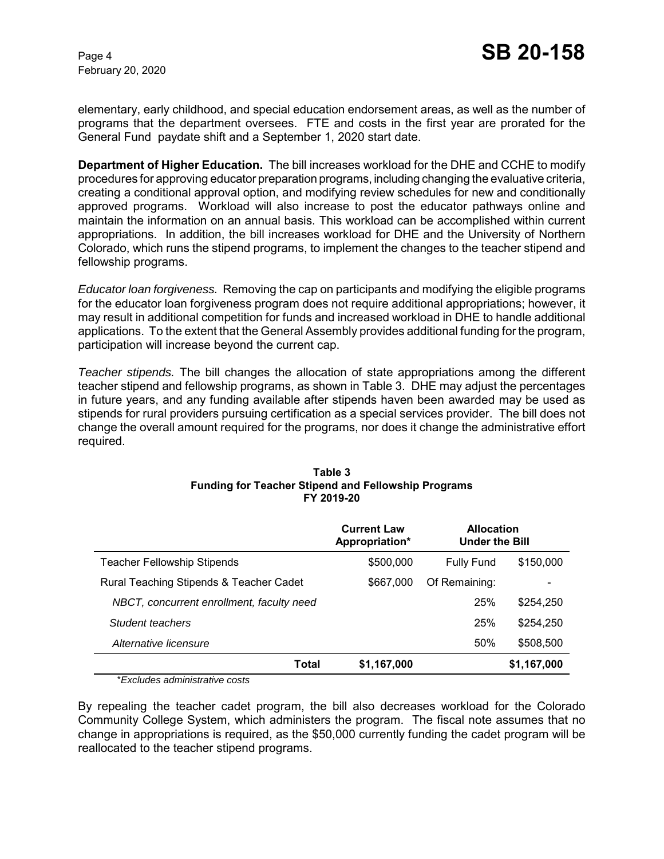elementary, early childhood, and special education endorsement areas, as well as the number of programs that the department oversees. FTE and costs in the first year are prorated for the General Fund paydate shift and a September 1, 2020 start date.

**Department of Higher Education.** The bill increases workload for the DHE and CCHE to modify procedures for approving educator preparation programs, including changing the evaluative criteria, creating a conditional approval option, and modifying review schedules for new and conditionally approved programs. Workload will also increase to post the educator pathways online and maintain the information on an annual basis. This workload can be accomplished within current appropriations. In addition, the bill increases workload for DHE and the University of Northern Colorado, which runs the stipend programs, to implement the changes to the teacher stipend and fellowship programs.

*Educator loan forgiveness.* Removing the cap on participants and modifying the eligible programs for the educator loan forgiveness program does not require additional appropriations; however, it may result in additional competition for funds and increased workload in DHE to handle additional applications. To the extent that the General Assembly provides additional funding for the program, participation will increase beyond the current cap.

*Teacher stipends.* The bill changes the allocation of state appropriations among the different teacher stipend and fellowship programs, as shown in Table 3. DHE may adjust the percentages in future years, and any funding available after stipends haven been awarded may be used as stipends for rural providers pursuing certification as a special services provider. The bill does not change the overall amount required for the programs, nor does it change the administrative effort required.

|                                           | <b>Current Law</b><br>Appropriation* | <b>Allocation</b><br><b>Under the Bill</b> |             |
|-------------------------------------------|--------------------------------------|--------------------------------------------|-------------|
| <b>Teacher Fellowship Stipends</b>        | \$500,000                            | <b>Fully Fund</b>                          | \$150,000   |
| Rural Teaching Stipends & Teacher Cadet   | \$667,000                            | Of Remaining:                              |             |
| NBCT, concurrent enrollment, faculty need |                                      | 25%                                        | \$254,250   |
| Student teachers                          |                                      | 25%                                        | \$254.250   |
| Alternative licensure                     |                                      | 50%                                        | \$508,500   |
| Total                                     | \$1,167,000                          |                                            | \$1,167,000 |

#### **Table 3 Funding for Teacher Stipend and Fellowship Programs FY 2019-20**

\**Excludes administrative costs*

By repealing the teacher cadet program, the bill also decreases workload for the Colorado Community College System, which administers the program. The fiscal note assumes that no change in appropriations is required, as the \$50,000 currently funding the cadet program will be reallocated to the teacher stipend programs.